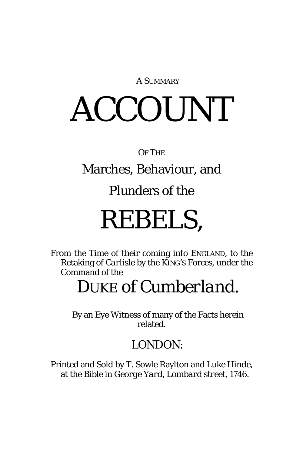A SUMMARY

# ACCOUNT

#### OF THE

#### Marches, Behaviour, and

#### Plunders of the

## REBELS,

From the Time of their coming into ENGLAND, to the Retaking of *Carlisle* by the KING'S Forces, under the Command of the

### DUKE of *Cumberland*.

By an Eye Witness of many of the Facts herein related.

#### *LONDON:*

Printed and Sold by T. Sowle Raylton and *Luke Hinde*, at the *Bible* in *George Yard*, *Lombard street*, 1746.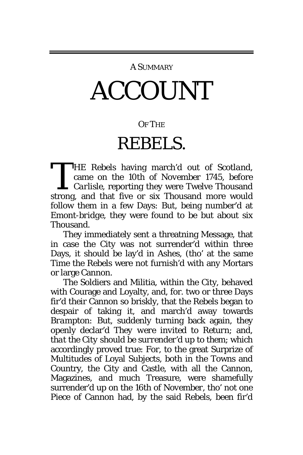#### A SUMMARY

# ACCOUNT

#### OF THE

### REBELS.

HE Rebels having march'd out of *Scotland,* came on the 10th of *November* 1745, before *Carlisle,* reporting they were Twelve Thousand THE Rebels having march'd out of *Scotland,*<br>came on the 10th of *November* 1745, before<br>*Carlisle,* reporting they were Twelve Thousand<br>strong, and that five or six Thousand more would follow them in a few Days: But, being number'd at *Emont-bridge*, they were found to be but about six Thousand.

They immediately sent a threatning Message, that in case the City was not surrender'd within three Days, it should be lay'd in Ashes, (tho' at the same Time the Rebels were not furnish'd with any Mortars or large Cannon.

The Soldiers and Militia, within the City, behaved with Courage and Loyalty, and, for. two or three Days fir'd their Cannon so briskly, that the Rebels began to despair of taking it, and march'd away towards *Brampton:* But, suddenly turning back again, they openly declar'd *They were invited to Return*; and, *that the City should be surrender'd up to them*; which accordingly proved true: For, to the great Surprize of Multitudes of Loyal Subjects, both in the Towns and Country, the City and Castle, with all the Cannon, Magazines, and much Treasure, were shamefully surrender'd up on the 16th of *November*, tho' not one Piece of Cannon had, by the said Rebels, been fir'd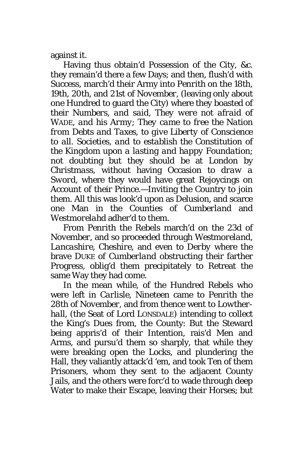against it.

Having thus obtain'd Possession of the City, *&c.* they remain'd there a few Days; and then, flush'd with Success, march'd their Army into *Penrith* on the 18th, 19th, 20th, and 21st of *November,* (leaving only about one Hundred to guard the City) where they boasted of their Num*bers, and said, They were not afraid of* WADE, *and his Army*; *They came to free the Nation from Debts and Taxes, to give Liberty of Conscience to all*. *Societies, and to establish the Constitution of the Kingdom upon a lasting and happy Foundation*; not doubting but they should be at *London* by *Christmass,* without having Occasion *to draw a Sword,* where they would have great Rejoycings on Account of their Prince.—Inviting the Country to join them. All this was look'd upon as *Delusion,* and scarce one Man in the Counties of *Cumberland* and *Westmorelahd* adher'd to them.

From *Penrith* the Rebels march'd on the 23d of *November,* and so proceeded through *Westmoreland, Lancashire, Cheshire*, and even to *Derby* where the brave DUKE of *Cumberland* obstructing their farther Progress, oblig'd them precipitately to Retreat the same Way they had come.

In the mean while, of the Hundred Rebels who were left in *Carlisle,* Nineteen came to *Penrith* the 28th of *November,* and from thence went to *Lowtherhall,* (the Seat of Lord LONSDALE) intending to collect the King's Dues from, the County: But the Steward being appris'd of their Intention, rais'd Men and Arms, and pursu'd them so sharply, that while they were breaking open the Locks, and plundering the Hall, they valiantly attack'd 'em, and took Ten of them Prisoners, whom they sent to the adjacent County Jails, and the others were forc'd to wade through deep Water to make their Escape, leaving their Horses; but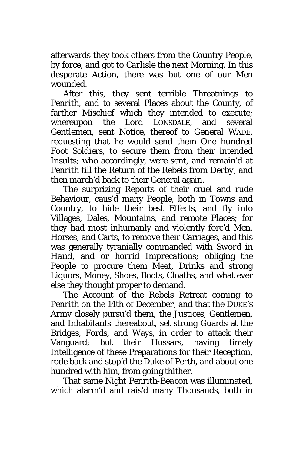afterwards they took others from the Country People, by force, and got to *Carlisle* the next Morning. In this desperate Action, there was but one of our Men wounded.

After this, they sent terrible Threatnings to *Penrith*, and to several Places about the County, of farther Mischief which they intended to execute; whereupon the Lord LONSDALE, and several Gentlemen, sent Notice, thereof to General WADE, requesting that he would send them One hundred Foot Soldiers, to secure them from their intended Insults; who accordingly, were sent, and remain'd at *Penrith* till the Return of the Rebels from *Derby*, and then march'd back to their General again.

The surprizing Reports of their cruel and rude Behaviour, caus'd many People, both in Towns and Country, to hide their best Effects, and fly into Villages, Dales, Mountains, and remote Places; for they had most inhumanly and violently forc'd Men, Horses, and Carts, to remove their Carriages, and this was generally tyranially commanded with *Sword in Hand*, and *or horrid Imprecations*; obliging the People to procure them Meat, Drinks and strong Liquors, Money, Shoes, Boots, Cloaths, and what ever else they thought proper to demand.

The Account of the Rebels Retreat coming to *Penrith* on the 14th of *December,* and that the DUKE'S Army closely pursu'd them, the Justices, Gentlemen, and Inhabitants thereabout, set strong Guards at the Bridges, Fords, and Ways, in order to attack their Vanguard; but their Hussars, having timely Intelligence of these Preparations for their Reception, rode back and stop'd the Duke of *Perth*, and about one hundred with him, from going thither.

That same Night *Penrith-Beacon* was illuminated, which alarm'd and rais'd many Thousands, both in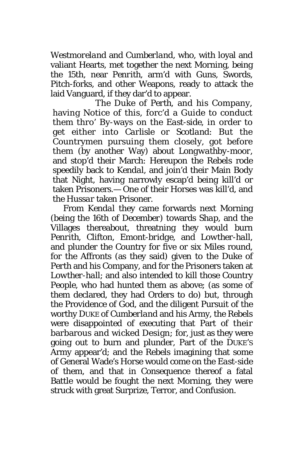*Westmoreland* and *Cumberland*, who, with loyal and valiant Hearts, met together the next Morning, being the 15th, near *Penrith*, arm'd with Guns, Swords, Pitch-forks, and other Weapons, ready to attack the laid Vanguard, if they dar'd to appear.

The Duke of *Perth*, and his Company, having Notice of this, forc'd a Guide to conduct them thro' By-ways on the *East-side*, in order to get either into *Carlisle* or *Scotland*: But the Countrymen pursuing them closely, got before them (by another Way) about *Longwathby-moor*, and stop'd their March: Hereupon the Rebels rode speedily back to *Kendal*, and join'd their Main Body that Night, having narrowly escap'd being kill'd or taken Prisoners.— One of their Horses was kill'd, and the *Hussar* taken Prisoner.

From *Kendal* they came forwards next Morning (being the 16th of *December)* towards *Shap*, and the Villages thereabout, threatning they would burn *Penrith*, *Clifton, Emont-bridge*, and *Lowther-hall*, and plunder the Country for five or six Miles round, for the Affronts (as they said) given to the Duke of *Perth* and his Company, and for the Prisoners taken at *Lowther-hall*; and also intended to kill those Country People, who had hunted them as above; (as some of them declared, they had Orders to do) but, through the Providence of God, and the diligent Pursuit of the worthy DUKE of *Cumberland* and his Army, the Rebels were disappointed of executing that Part of their barbarous and wicked Design; for, just as they were going out to burn and plunder, Part of the DUKE'S Army appear'd; and the Rebels imagining that some of General Wade's Horse would come on the *East-side* of them, and that in Consequence thereof a fatal Battle would be fought the next Morning, they were struck with great Surprize, Terror, and Confusion.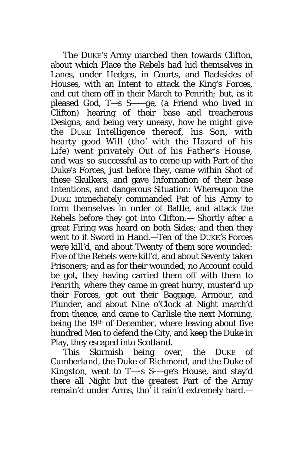The DUKE'S Army marched then towards *Clifton*, about which Place the Rebels had hid themselves in Lanes, under Hedges, in Courts, and Backsides of Houses, with an Intent to attack the King's Forces, and cut them off in their March to *Penrith;* but, as it pleased God, *T—s S*——*ge,* (a Friend who lived in *Clifton)* hearing of their base and treacherous Designs, and being very uneasy, how he might give the DUKE Intelligence thereof, his Son, with hearty good Will (tho' with the Hazard of his Life) went privately Out of his Father's House, and was so successful as to come up with Part of the Duke's Forces, just before they, came within Shot of these Skulkers, and gave Information of their base Intentions, and dangerous Situation: Whereupon the DUKE immediately commanded Pat of his Army to form themselves in order of Battle, and attack the Rebels before they got into *Clifton.—* Shortly after a great Firing was heard on both Sides; and then they went to it Sword in Hand.—Ten of the DUKE'S Forces were kill'd, and about Twenty of them sore wounded: Five of the Rebels were kill'd, and about Seventy taken Prisoners; and as for their wounded, no Account could be got, they having carried them off with them to *Penrith,* where they came in great hurry, muster'd up their Forces, got out their Baggage, Armour, and Plunder, and about Nine o'Clock at Night march'd from thence, and came to *Carlisle* the next Morning, being the 19th of *December*, where leaving about five hundred Men to defend the City, and keep the Duke in Play, they escaped into *Scotland*.

This Skirmish being over, the DUKE of *Cumberland*, the Duke of *Richmond,* and the Duke of *Kingston*, went to *T—-s S-—ge's* House, and stay'd there all Night but the greatest Part of the Army remain'd under Arms, tho' it rain'd extremely hard.—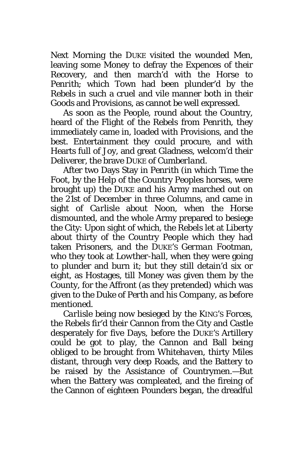Next Morning the DUKE visited the wounded Men, leaving some Money to defray the Expences of their Recovery, and then march'd with the Horse to *Penrith*; which Town had been plunder'd by the Rebels in such a cruel and vile manner both in their Goods and Provisions, as cannot be well expressed.

As soon as the People, round about the Country, heard of the Flight of the Rebels from *Penrith*, they immediately came in, loaded with Provisions, and the best. Entertainment they could procure, and with Hearts full of Joy, and great Gladness, welcom'd their Deliverer, the brave DUKE of *Cumberland*.

After two Days Stay in *Penrith* (in which Time the Foot, by the Help of the Country Peoples horses, were brought up) the DUKE and his Army marched out on the 21st of *December* in three Columns, and came in sight of *Carlisle* about Noon, when the Horse dismounted, and the whole Army prepared to besiege the City: Upon sight of which, the Rebels let at Liberty about thirty of the Country People which they had taken Prisoners, and the DUKE'S *German* Footman, who they took at *Lowther-hall*, when they were going to plunder and burn it; but they still detain'd six or eight, as Hostages, till Money was given them by the County, for the Affront (as they pretended) which was given to the Duke of *Perth* and his Company, as before mentioned.

*Carlisle* being now besieged by the KING'S Forces, the Rebels fir'd their Cannon from the City and Castle desperately for five Days, before the DUKE'S Artillery could be got to play, the Cannon and Ball being obliged to be brought from *Whitehaven,* thirty Miles distant, through very deep Roads, and the Battery to be raised by the Assistance of Countrymen.—But when the Battery was compleated, and the fireing of the Cannon of eighteen Pounders began, the dreadful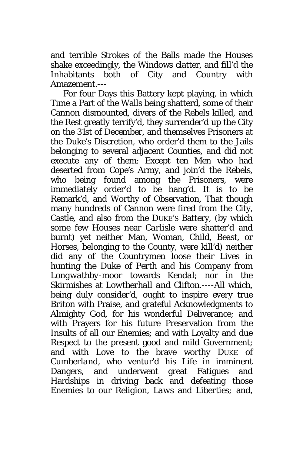and terrible Strokes of the Balls made the Houses shake exceedingly, the Windows clatter, and fill'd the Inhabitants both of City and Country with Amazement.---

For four Days this Battery kept playing, in which Time a Part of the Walls being shatterd, some of their Cannon dismounted, divers of the Rebels killed, and the Rest greatly terrify'd, they surrender'd up the City on the 31st of *December*, and themselves Prisoners at the Duke's Discretion, who order'd them to the Jails belonging to several adjacent Counties, and did not execute any of them: Except ten Men who had deserted from *Cope's* Army, and join'd the Rebels, who being found among the Prisoners, were immediately order'd to be hang'd. It is to be Remark'd, and Worthy of Observation, That though many hundreds of Cannon were fired from the City, Castle, and also from the DUKE'S Battery, (by which some few Houses near *Carlisle* were shatter'd and burnt) yet neither Man, Woman, Child, Beast, or Horses, belonging to the County, were kill'd) neither did any of the Countrymen loose their Lives in hunting the Duke of *Perth* and his Company from *Longwathby-moor* towards *Kendal*; nor in the Skirmishes at *Lowtherhall and* Clifton.----All which, being duly consider'd, ought to inspire every true *Briton* with Praise, and grateful Acknowledgments to Almighty God, for his wonderful Deliverance; and with Prayers for his future Preservation from the Insults of all our Enemies; and with Loyalty and due Respect to the present good and mild Government; and with Love to the brave worthy DUKE of *Cumberland*, who ventur'd his Life in imminent Dangers, and underwent great Fatigues and Hardships in driving back and defeating those Enemies to our *Religion, Laws* and *Liberties;* and,